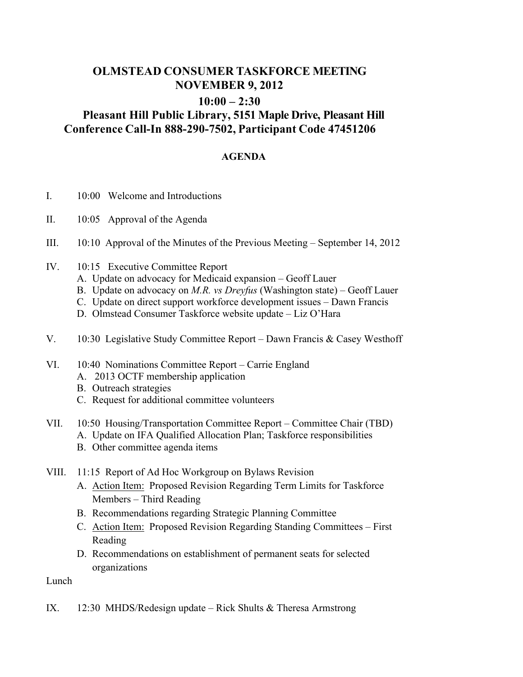## **OLMSTEAD CONSUMER TASKFORCE MEETING NOVEMBER 9, 2012**

## **10:00 – 2:30**

## **Pleasant Hill Public Library, 5151 Maple Drive, Pleasant Hill Conference Call-In 888-290-7502, Participant Code 47451206**

## **AGENDA**

- I. 10:00 Welcome and Introductions
- II. 10:05 Approval of the Agenda
- III. 10:10 Approval of the Minutes of the Previous Meeting September 14, 2012
- IV. 10:15 Executive Committee Report
	- A. Update on advocacy for Medicaid expansion Geoff Lauer
	- B. Update on advocacy on *M.R. vs Dreyfus* (Washington state) Geoff Lauer
	- C. Update on direct support workforce development issues Dawn Francis
	- D. Olmstead Consumer Taskforce website update Liz O'Hara
- V. 10:30 Legislative Study Committee Report Dawn Francis & Casey Westhoff
- VI. 10:40 Nominations Committee Report Carrie England
	- A. 2013 OCTF membership application
	- B. Outreach strategies
	- C. Request for additional committee volunteers
- VII. 10:50 Housing/Transportation Committee Report Committee Chair (TBD)
	- A. Update on IFA Qualified Allocation Plan; Taskforce responsibilities
	- B. Other committee agenda items
- VIII. 11:15 Report of Ad Hoc Workgroup on Bylaws Revision
	- A. Action Item: Proposed Revision Regarding Term Limits for Taskforce Members – Third Reading
	- B. Recommendations regarding Strategic Planning Committee
	- C. Action Item: Proposed Revision Regarding Standing Committees First Reading
	- D. Recommendations on establishment of permanent seats for selected organizations

Lunch

IX. 12:30 MHDS/Redesign update – Rick Shults & Theresa Armstrong